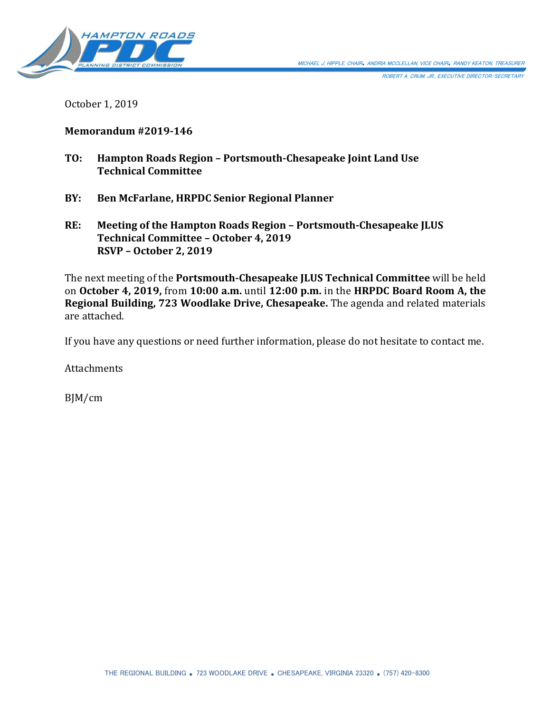

ROBERT A. CRUM, JR., EXECUTIVE DIRECTOR/SECRETARY

October 1, 2019

#### **Memorandum #2019-146**

- **TO: Hampton Roads Region – Portsmouth-Chesapeake Joint Land Use Technical Committee**
- **BY: Ben McFarlane, HRPDC Senior Regional Planner**
- **RE: Meeting of the Hampton Roads Region – Portsmouth-Chesapeake JLUS Technical Committee – October 4, 2019 RSVP – October 2, 2019**

The next meeting of the **Portsmouth-Chesapeake JLUS Technical Committee** will be held on **October 4, 2019,** from **10:00 a.m.** until **12:00 p.m.** in the **HRPDC Board Room A, the Regional Building, 723 Woodlake Drive, Chesapeake.** The agenda and related materials are attached.

If you have any questions or need further information, please do not hesitate to contact me.

**Attachments** 

BJM/cm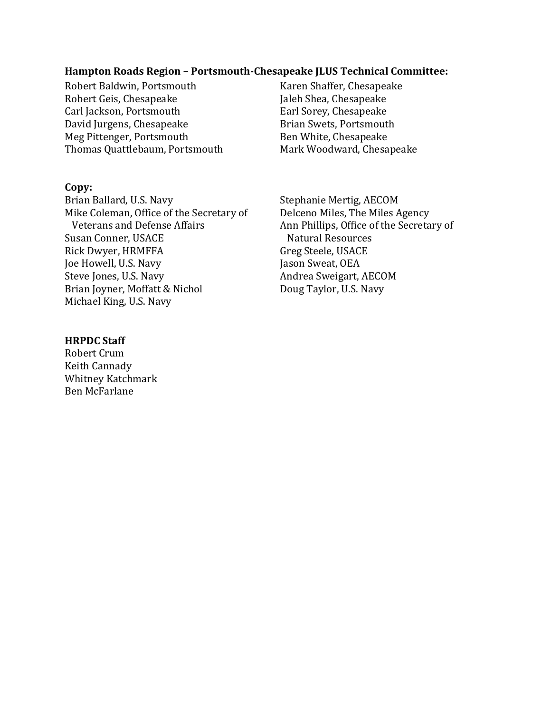#### **Hampton Roads Region – Portsmouth-Chesapeake JLUS Technical Committee:**

Robert Baldwin, Portsmouth Karen Shaffer, Chesapeake Robert Geis, Chesapeake Jaleh Shea, Chesapeake<br>Carl Jackson, Portsmouth Farl Sorey, Chesapeake Carl Jackson, Portsmouth David Jurgens, Chesapeake Brian Swets, Portsmouth Meg Pittenger, Portsmouth Ben White, Chesapeake Thomas Quattlebaum, Portsmouth Mark Woodward, Chesapeake

#### **Copy:**

Brian Ballard, U.S. Navy Stephanie Mertig, AECOM Mike Coleman, Office of the Secretary of Delceno Miles, The Miles Agency Veterans and Defense Affairs Ann Phillips, Office of the Secretary of Susan Conner, USACE Natural Resources Rick Dwyer, HRMFFA Greg Steele, USACE Joe Howell, U.S. Navy Jason Sweat, OEA Steve Jones, U.S. Navy **Andrea Sweigart, AECOM** Brian Joyner, Moffatt & Nichol Doug Taylor, U.S. Navy Michael King, U.S. Navy

#### **HRPDC Staff**

Robert Crum Keith Cannady Whitney Katchmark Ben McFarlane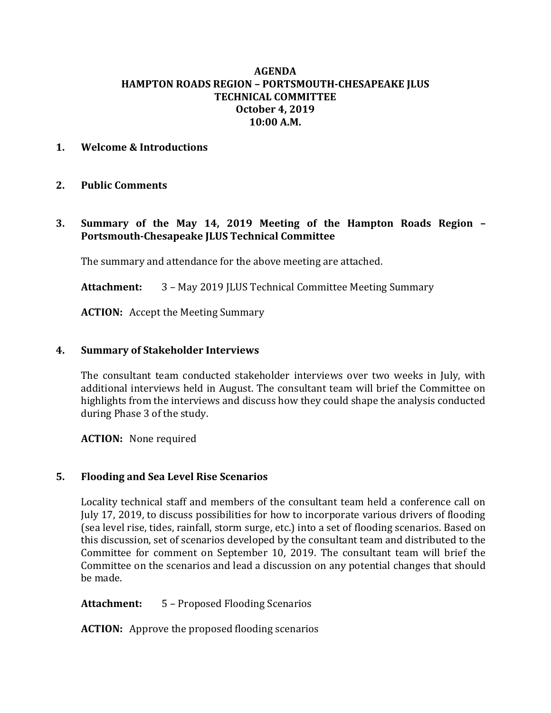## **AGENDA HAMPTON ROADS REGION – PORTSMOUTH-CHESAPEAKE JLUS TECHNICAL COMMITTEE October 4, 2019 10:00 A.M.**

## **1. Welcome & Introductions**

#### **2. Public Comments**

**3. Summary of the May 14, 2019 Meeting of the Hampton Roads Region – Portsmouth-Chesapeake JLUS Technical Committee**

The summary and attendance for the above meeting are attached.

**Attachment:** 3 – May 2019 JLUS Technical Committee Meeting Summary

**ACTION:** Accept the Meeting Summary

#### **4. Summary of Stakeholder Interviews**

The consultant team conducted stakeholder interviews over two weeks in July, with additional interviews held in August. The consultant team will brief the Committee on highlights from the interviews and discuss how they could shape the analysis conducted during Phase 3 of the study.

**ACTION:** None required

## **5. Flooding and Sea Level Rise Scenarios**

Locality technical staff and members of the consultant team held a conference call on July 17, 2019, to discuss possibilities for how to incorporate various drivers of flooding (sea level rise, tides, rainfall, storm surge, etc.) into a set of flooding scenarios. Based on this discussion, set of scenarios developed by the consultant team and distributed to the Committee for comment on September 10, 2019. The consultant team will brief the Committee on the scenarios and lead a discussion on any potential changes that should be made.

## **Attachment:** 5 – Proposed Flooding Scenarios

**ACTION:** Approve the proposed flooding scenarios